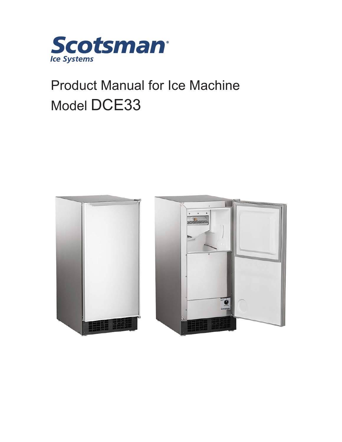

# Product Manual for Ice Machine Model DCE33



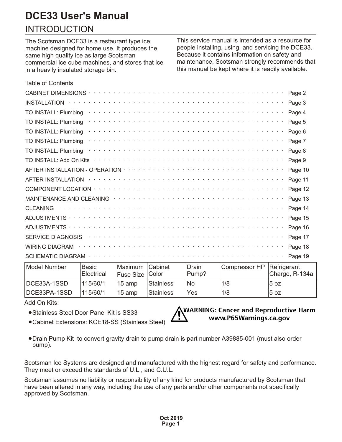### **INTRODUCTION**

The Scotsman DCE33 is a restaurant type ice machine designed for home use. It produces the same high quality ice as large Scotsman commercial ice cube machines, and stores that ice in a heavily insulated storage bin.

This service manual is intended as a resource for people installing, using, and servicing the DCE33. Because it contains information on safety and maintenance, Scotsman strongly recommends that this manual be kept where it is readily available.

| <b>Table of Contents</b>                                                                                                                                                                                                                                              |
|-----------------------------------------------------------------------------------------------------------------------------------------------------------------------------------------------------------------------------------------------------------------------|
| Page 2<br>CABINET DIMENSIONS · ·                                                                                                                                                                                                                                      |
| a constitution de la constitution de la constitution de la constitution de la constitution de la constitution<br>Page 3<br><b>INSTALLATION</b>                                                                                                                        |
| بمناقض والمتعارف والمناقص والمنافر والمنافر والمتعرف والمتعرف والمتعرف والمنافر والمنافر والمنافر والمنافر<br>Page 4<br>TO INSTALL: Plumbing                                                                                                                          |
| TO INSTALL: Plumbing<br>Page 5                                                                                                                                                                                                                                        |
| TO INSTALL: Plumbing<br>Page 6                                                                                                                                                                                                                                        |
| Page 7<br>TO INSTALL: Plumbing                                                                                                                                                                                                                                        |
| TO INSTALL: Plumbing<br>Page 8                                                                                                                                                                                                                                        |
| Page 9<br>TO INSTALL: Add On Kits                                                                                                                                                                                                                                     |
| Page 10                                                                                                                                                                                                                                                               |
| Page 11<br><b>AFTER INSTALLATION</b>                                                                                                                                                                                                                                  |
| Page 12                                                                                                                                                                                                                                                               |
| MAINTENANCE AND CLEANING (Fig. 1) and (Fig. 1) and (Fig. 1) and (Fig. 1) and (Fig. 1) and (Fig. 1) and (Fig. 1) and (Fig. 1) and (Fig. 1) and (Fig. 1) and (Fig. 1) and (Fig. 1) and (Fig. 1) and (Fig. 1) and (Fig. 1) and (F<br>Page 13                             |
| Page 14<br><b>CLEANING</b>                                                                                                                                                                                                                                            |
| المتمالي والمتمالي والمتمالي والمتمالي والمتمالي والمتمالي والمتمالي والمتمالي والمتمالي والمتمالي والمتمالي<br>Page 15<br><b>ADJUSTMENTS</b>                                                                                                                         |
| Page 16<br>ADJUSTMENTS ·                                                                                                                                                                                                                                              |
| and the contract of the contract of the contract of the contract of the contract of the contract of the contract of the contract of the contract of the contract of the contract of the contract of the contract of the contra<br>Page 17<br><b>SERVICE DIAGNOSIS</b> |
| Page 18<br><b>WIRING DIAGRAM</b>                                                                                                                                                                                                                                      |
| والمتواط والمتواط والمتواط والمتواط والمتواط والمتواط والمتواط والمتواط والمتواط والمتواط والمتواط والمتواط والمناج<br>Page 19<br><b>SCHEMATIC DIAGRAM</b>                                                                                                            |

| Model Number | <b>Basic</b><br>Electrical | Maximum Cabinet<br>$ F$ use Size $ C$ olor |           | Drain<br>Pump? | Compressor HP Refrigerant | Charge, R-134a |
|--------------|----------------------------|--------------------------------------------|-----------|----------------|---------------------------|----------------|
| ∥DCE33A-1SSD | 115/60/1                   | $15$ amp                                   | Stainless | No             | 1/8                       | 5 oz           |
| DCE33PA-1SSD | 115/60/1                   | $15$ amp                                   | Stainless | Yes            | 1/8                       | 5 oz           |

Add On Kits:

- **·**Stainless Steel Door Panel Kit is SS33
- **·**Cabinet Extensions: KCE18-SS (Stainless Steel)



**·**Drain Pump Kit to convert gravity drain to pump drain is part number A39885-001 (must also order pump).

Scotsman Ice Systems are designed and manufactured with the highest regard for safety and performance. They meet or exceed the standards of U.L., and C.U.L.

Scotsman assumes no liability or responsibility of any kind for products manufactured by Scotsman that have been altered in any way, including the use of any parts and/or other components not specifically approved by Scotsman.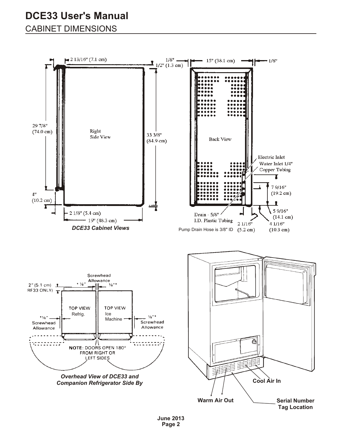### <span id="page-2-0"></span>**CABINET DIMENSIONS**

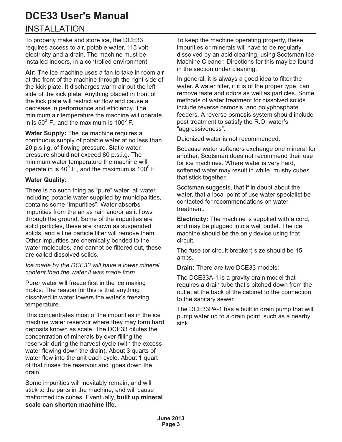### <span id="page-3-0"></span>**INSTALLATION**

To properly make and store ice, the DCE33 requires access to air, potable water, 115 volt electricity and a drain. The machine must be installed indoors, in a controlled environment.

**Air:** The ice machine uses a fan to take in room air at the front of the machine through the right side of the kick plate. It discharges warm air out the left side of the kick plate. Anything placed in front of the kick plate will restrict air flow and cause a decrease in performance and efficiency. The minimum air temperature the machine will operate in is 50 $^{\rm 0}$  F., and the maximum is 100 $^{\rm 0}$  F.

**Water Supply:** The ice machine requires a continuous supply of potable water at no less than 20 p.s.i.g. of flowing pressure. Static water pressure should not exceed 80 p.s.i.g. The minimum water temperature the machine will operate in is 40 $^{\rm 0}$  F., and the maximum is 100 $^{\rm 0}$  F.

#### **Water Quality:**

There is no such thing as "pure" water; all water, including potable water supplied by municipalities, contains some "impurities". Water absorbs impurities from the air as rain and/or as it flows through the ground. Some of the impurities are solid particles, these are known as suspended solids, and a fine particle filter will remove them. Other impurities are chemically bonded to the water molecules, and cannot be filtered out, these are called dissolved solids.

*Ice made by the DCE33 will have a lower mineral content than the water it was made from*.

Purer water will freeze first in the ice making molds. The reason for this is that anything dissolved in water lowers the water's freezing temperature.

This concentrates most of the impurities in the ice machine water reservoir where they may form hard deposits known as scale. The DCE33 dilutes the concentration of minerals by over-filling the reservoir during the harvest cycle (with the excess water flowing down the drain). About 3 quarts of water flow into the unit each cycle. About 1 quart of that rinses the reservoir and goes down the drain.

Some impurities will inevitably remain, and will stick to the parts in the machine, and will cause malformed ice cubes. Eventually, **built up mineral scale can shorten machine life.** 

To keep the machine operating properly, these impurities or minerals will have to be regularly dissolved by an acid cleaning, using Scotsman Ice Machine Cleaner. Directions for this may be found in the section under cleaning.

In general, it is always a good idea to filter the water. A water filter, if it is of the proper type, can remove taste and odors as well as particles. Some methods of water treatment for dissolved solids include reverse osmosis, and polyphosphate feeders. A reverse osmosis system should include post treatment to satisfy the R.O. water's "aggressiveness".

Deionized water is not recommended.

Because water softeners exchange one mineral for another, Scotsman does not recommend their use for ice machines. Where water is very hard, softened water may result in white, mushy cubes that stick together.

Scotsman suggests, that if in doubt about the water, that a local point of use water specialist be contacted for recommendations on water treatment.

**Electricity:** The machine is supplied with a cord, and may be plugged into a wall outlet. The ice machine should be the only device using that circuit.

The fuse (or circuit breaker) size should be 15 amps.

**Drain:** There are two DCE33 models:

The DCE33A-1 is a gravity drain model that requires a drain tube that's pitched down from the outlet at the back of the cabinet to the connection to the sanitary sewer.

The DCE33PA-1 has a built in drain pump that will pump water up to a drain point, such as a nearby sink.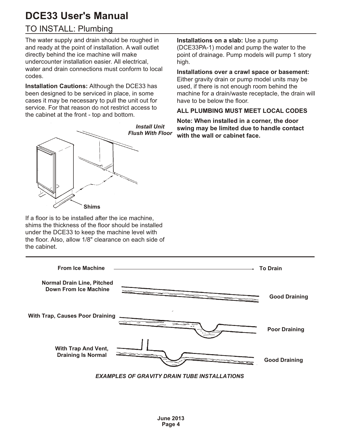### <span id="page-4-0"></span>TO INSTALL: Plumbing

The water supply and drain should be roughed in and ready at the point of installation. A wall outlet directly behind the ice machine will make undercounter installation easier. All electrical, water and drain connections must conform to local codes.

**Installation Cautions:** Although the DCE33 has been designed to be serviced in place, in some cases it may be necessary to pull the unit out for service. For that reason do not restrict access to the cabinet at the front - top and bottom.



**Installations on a slab:** Use a pump (DCE33PA-1) model and pump the water to the point of drainage. Pump models will pump 1 story high.

**Installations over a crawl space or basement:** Either gravity drain or pump model units may be used, if there is not enough room behind the machine for a drain/waste receptacle, the drain will have to be below the floor.

#### **ALL PLUMBING MUST MEET LOCAL CODES**

**Note: When installed in a corner, the door swing may be limited due to handle contact with the wall or cabinet face.**

If a floor is to be installed after the ice machine, shims the thickness of the floor should be installed under the DCE33 to keep the machine level with the floor. Also, allow 1/8" clearance on each side of the cabinet.

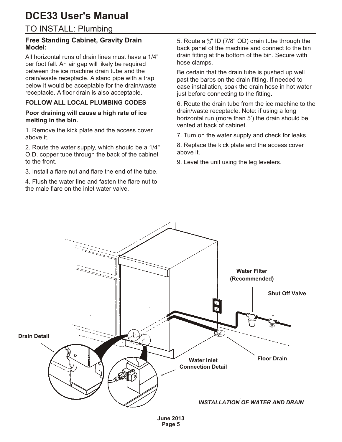### <span id="page-5-0"></span>TO INSTALL: Plumbing

#### **Free Standing Cabinet, Gravity Drain Model:**

All horizontal runs of drain lines must have a 1/4" per foot fall. An air gap will likely be required between the ice machine drain tube and the drain/waste receptacle. A stand pipe with a trap below it would be acceptable for the drain/waste receptacle. A floor drain is also acceptable.

#### **FOLLOW ALL LOCAL PLUMBING CODES**

#### **Poor draining will cause a high rate of ice melting in the bin.**

1. Remove the kick plate and the access cover above it.

2. Route the water supply, which should be a 1/4" O.D. copper tube through the back of the cabinet to the front.

3. Install a flare nut and flare the end of the tube.

4. Flush the water line and fasten the flare nut to the male flare on the inlet water valve.

5. Route a  $\frac{5}{8}$ " ID (7/8" OD) drain tube through the back panel of the machine and connect to the bin drain fitting at the bottom of the bin. Secure with hose clamps.

Be certain that the drain tube is pushed up well past the barbs on the drain fitting. If needed to ease installation, soak the drain hose in hot water just before connecting to the fitting.

6. Route the drain tube from the ice machine to the drain/waste receptacle. Note: if using a long horizontal run (more than 5') the drain should be vented at back of cabinet.

7. Turn on the water supply and check for leaks.

8. Replace the kick plate and the access cover above it.

9. Level the unit using the leg levelers.

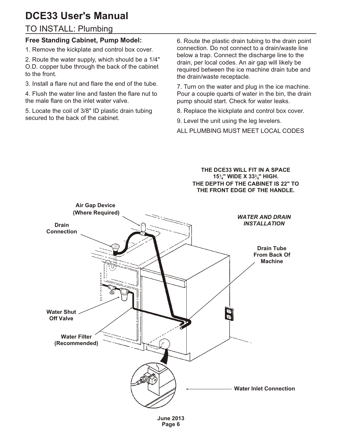### <span id="page-6-0"></span>TO INSTALL: Plumbing

#### **Free Standing Cabinet, Pump Model:**

1. Remove the kickplate and control box cover.

2. Route the water supply, which should be a 1/4" O.D. copper tube through the back of the cabinet to the front.

3. Install a flare nut and flare the end of the tube.

4. Flush the water line and fasten the flare nut to the male flare on the inlet water valve.

5. Locate the coil of 3/8" ID plastic drain tubing secured to the back of the cabinet.

6. Route the plastic drain tubing to the drain point connection. Do not connect to a drain/waste line below a trap. Connect the discharge line to the drain, per local codes. An air gap will likely be required between the ice machine drain tube and the drain/waste receptacle.

7. Turn on the water and plug in the ice machine. Pour a couple quarts of water in the bin, the drain pump should start. Check for water leaks.

8. Replace the kickplate and control box cover.

9. Level the unit using the leg levelers.

ALL PLUMBING MUST MEET LOCAL CODES

**THE DCE33 WILL FIT IN A SPACE 15<sup>1</sup> 4" WIDE X 33<sup>3</sup> <sup>4</sup>" HIGH. THE DEPTH OF THE CABINET IS 22" TO THE FRONT EDGE OF THE HANDLE.**



**Page 6**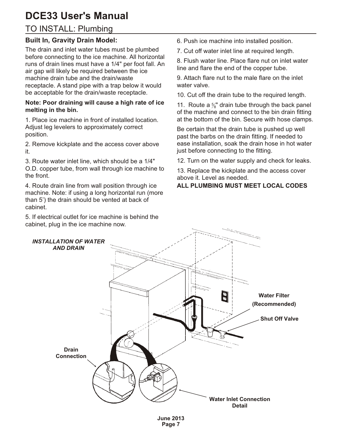### <span id="page-7-0"></span>TO INSTALL: Plumbing

#### **Built In, Gravity Drain Model:**

The drain and inlet water tubes must be plumbed before connecting to the ice machine. All horizontal runs of drain lines must have a 1/4" per foot fall. An air gap will likely be required between the ice machine drain tube and the drain/waste receptacle. A stand pipe with a trap below it would be acceptable for the drain/waste receptacle.

#### **Note: Poor draining will cause a high rate of ice melting in the bin.**

1. Place ice machine in front of installed location. Adjust leg levelers to approximately correct position.

2. Remove kickplate and the access cover above it.

3. Route water inlet line, which should be a 1/4" O.D. copper tube, from wall through ice machine to the front.

4. Route drain line from wall position through ice machine. Note: if using a long horizontal run (more than 5') the drain should be vented at back of cabinet.

5. If electrical outlet for ice machine is behind the cabinet, plug in the ice machine now.

6. Push ice machine into installed position.

7. Cut off water inlet line at required length.

8. Flush water line. Place flare nut on inlet water line and flare the end of the copper tube.

9. Attach flare nut to the male flare on the inlet water valve.

10. Cut off the drain tube to the required length.

11. Route a  $\frac{5}{8}$  drain tube through the back panel of the machine and connect to the bin drain fitting at the bottom of the bin. Secure with hose clamps.

Be certain that the drain tube is pushed up well past the barbs on the drain fitting. If needed to ease installation, soak the drain hose in hot water just before connecting to the fitting.

12. Turn on the water supply and check for leaks.

13. Replace the kickplate and the access cover above it. Level as needed.

#### **ALL PLUMBING MUST MEET LOCAL CODES**

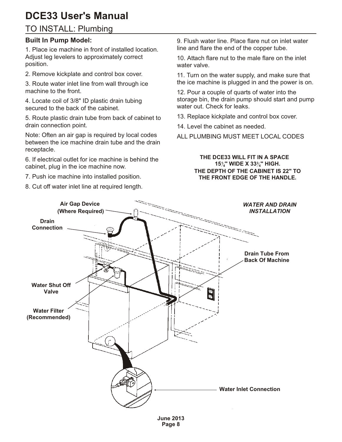### <span id="page-8-0"></span>TO INSTALL: Plumbing

#### **Built In Pump Model:**

1. Place ice machine in front of installed location. Adjust leg levelers to approximately correct position.

2. Remove kickplate and control box cover.

3. Route water inlet line from wall through ice machine to the front.

4. Locate coil of 3/8" ID plastic drain tubing secured to the back of the cabinet.

5. Route plastic drain tube from back of cabinet to drain connection point.

Note: Often an air gap is required by local codes between the ice machine drain tube and the drain receptacle.

6. If electrical outlet for ice machine is behind the cabinet, plug in the ice machine now.

7. Push ice machine into installed position.

8. Cut off water inlet line at required length.

9. Flush water line. Place flare nut on inlet water line and flare the end of the copper tube.

10. Attach flare nut to the male flare on the inlet water valve.

11. Turn on the water supply, and make sure that the ice machine is plugged in and the power is on.

12. Pour a couple of quarts of water into the storage bin, the drain pump should start and pump water out. Check for leaks.

13. Replace kickplate and control box cover.

14. Level the cabinet as needed.

ALL PLUMBING MUST MEET LOCAL CODES

#### **THE DCE33 WILL FIT IN A SPACE 15<sup>1</sup> 4" WIDE X 33<sup>3</sup> <sup>4</sup>" HIGH. THE DEPTH OF THE CABINET IS 22" TO THE FRONT EDGE OF THE HANDLE.**



**Page 8**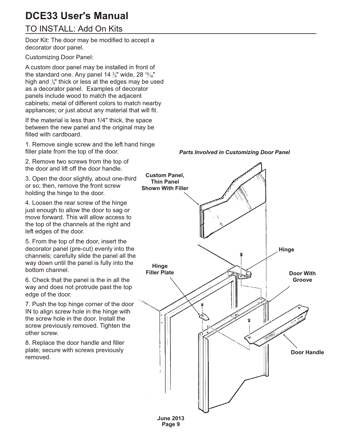### <span id="page-9-0"></span>TO INSTALL: Add On Kits

Door Kit: The door may be modified to accept a decorator door panel.

Customizing Door Panel:

A custom door panel may be installed in front of the standard one. Any panel 14  $\frac{3}{4}$ " wide, 28  $\frac{15}{16}$ " high and  $\mathcal{Y}_{4}$ " thick or less at the edges may be used as a decorator panel. Examples of decorator panels include wood to match the adjacent cabinets; metal of different colors to match nearby appliances; or just about any material that will fit.

If the material is less than 1/4" thick, the space between the new panel and the original may be filled with cardboard.

1. Remove single screw and the left hand hinge filler plate from the top of the door.

2. Remove two screws from the top of the door and lift off the door handle.

3. Open the door slightly, about one-third or so; then, remove the front screw holding the hinge to the door.

4. Loosen the rear screw of the hinge just enough to allow the door to sag or move forward. This will allow access to the top of the channels at the right and left edges of the door.

5. From the top of the door, insert the decorator panel (pre-cut) evenly into the channels; carefully slide the panel all the way down until the panel is fully into the bottom channel.

6. Check that the panel is the in all the way and does not protrude past the top edge of the door.

7. Push the top hinge corner of the door IN to align screw hole in the hinge with the screw hole in the door. Install the screw previously removed. Tighten the other screw.

8. Replace the door handle and filler plate; secure with screws previously removed.





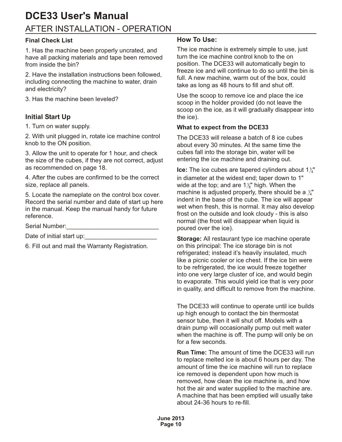### <span id="page-10-0"></span>AFTER INSTALLATION - OPERATION **DCE33 User's Manual**

#### **Final Check List**

1. Has the machine been properly uncrated, and have all packing materials and tape been removed from inside the bin?

2. Have the installation instructions been followed, including connecting the machine to water, drain and electricity?

3. Has the machine been leveled?

#### **Initial Start Up**

1. Turn on water supply.

2. With unit plugged in, rotate ice machine control knob to the ON position.

3. Allow the unit to operate for 1 hour, and check the size of the cubes, if they are not correct, adjust as recommended on page 18.

4. After the cubes are confirmed to be the correct size, replace all panels.

5. Locate the nameplate on the control box cover. Record the serial number and date of start up here in the manual. Keep the manual handy for future reference.

Serial Number:

Date of initial start up:

6. Fill out and mail the Warranty Registration.

#### **How To Use:**

The ice machine is extremely simple to use, just turn the ice machine control knob to the on position. The DCE33 will automatically begin to freeze ice and will continue to do so until the bin is full. A new machine, warm out of the box, could take as long as 48 hours to fill and shut off.

Use the scoop to remove ice and place the ice scoop in the holder provided (do not leave the scoop on the ice, as it will gradually disappear into the ice).

#### **What to expect from the DCE33**

The DCE33 will release a batch of 8 ice cubes about every 30 minutes. At the same time the cubes fall into the storage bin, water will be entering the ice machine and draining out.

**Ice:** The ice cubes are tapered cylinders about  $1\frac{1}{4}$ in diameter at the widest end; taper down to 1" wide at the top; and are 1 $\frac{y}{8}$ " high. When the machine is adjusted properly, there should be a  $\mathcal{V}_4^{\bullet}$ indent in the base of the cube. The ice will appear wet when fresh, this is normal. It may also develop frost on the outside and look cloudy - this is also normal (the frost will disappear when liquid is poured over the ice).

**Storage:** All restaurant type ice machine operate on this principal: The ice storage bin is not refrigerated; instead it's heavily insulated, much like a picnic cooler or ice chest. If the ice bin were to be refrigerated, the ice would freeze together into one very large cluster of ice, and would begin to evaporate. This would yield ice that is very poor in quality, and difficult to remove from the machine.

The DCE33 will continue to operate until ice builds up high enough to contact the bin thermostat sensor tube, then it will shut off. Models with a drain pump will occasionally pump out melt water when the machine is off. The pump will only be on for a few seconds.

**Run Time:** The amount of time the DCE33 will run to replace melted ice is about 6 hours per day. The amount of time the ice machine will run to replace ice removed is dependent upon how much is removed, how clean the ice machine is, and how hot the air and water supplied to the machine are. A machine that has been emptied will usually take about 24-36 hours to re-fill.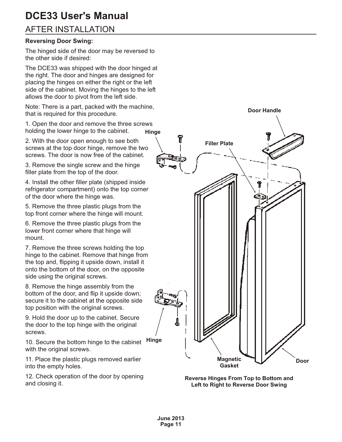### <span id="page-11-0"></span>**AFTER INSTALLATION**

#### **Reversing Door Swing:**

The hinged side of the door may be reversed to the other side if desired:

The DCE33 was shipped with the door hinged at the right. The door and hinges are designed for placing the hinges on either the right or the left side of the cabinet. Moving the hinges to the left allows the door to pivot from the left side.

Note: There is a part, packed with the machine, that is required for this procedure.

1. Open the door and remove the three screws holding the lower hinge to the cabinet. **Hinge**

2. With the door open enough to see both screws at the top door hinge, remove the two screws. The door is now free of the cabinet

3. Remove the single screw and the hinge filler plate from the top of the door.

4. Install the other filler plate (shipped inside refrigerator compartment) onto the top corner of the door where the hinge was.

5. Remove the three plastic plugs from the top front corner where the hinge will mount.

6. Remove the three plastic plugs from the lower front corner where that hinge will mount.

7. Remove the three screws holding the top hinge to the cabinet. Remove that hinge from the top and, flipping it upside down, install it onto the bottom of the door, on the opposite side using the original screws.

8. Remove the hinge assembly from the bottom of the door, and flip it upside down; secure it to the cabinet at the opposite side top position with the original screws.

9. Hold the door up to the cabinet. Secure the door to the top hinge with the original screws.

10. Secure the bottom hinge to the cabinet with the original screws. **Hinge**

11. Place the plastic plugs removed earlier into the empty holes.

12. Check operation of the door by opening and closing it.



**Reverse Hinges From Top to Bottom and Left to Right to Reverse Door Swing**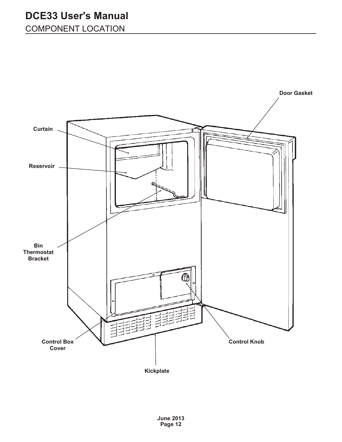<span id="page-12-0"></span>COMPONENT LOCATION

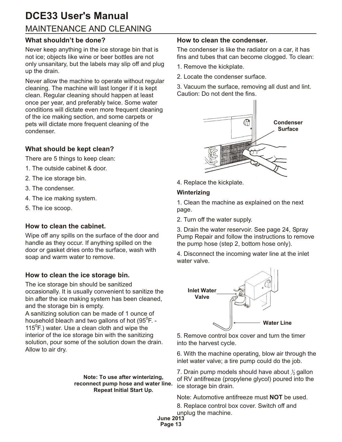### <span id="page-13-0"></span>MAINTENANCE AND CLEANING **DCE33 User's Manual**

#### **What shouldn't be done?**

Never keep anything in the ice storage bin that is not ice; objects like wine or beer bottles are not only unsanitary, but the labels may slip off and plug up the drain.

Never allow the machine to operate without regular cleaning. The machine will last longer if it is kept clean. Regular cleaning should happen at least once per year, and preferably twice. Some water conditions will dictate even more frequent cleaning of the ice making section, and some carpets or pets will dictate more frequent cleaning of the condenser.

#### **What should be kept clean?**

There are 5 things to keep clean:

- 1. The outside cabinet & door.
- 2. The ice storage bin.
- 3. The condenser.
- 4. The ice making system.
- 5. The ice scoop.

#### **How to clean the cabinet.**

Wipe off any spills on the surface of the door and handle as they occur. If anything spilled on the door or gasket dries onto the surface, wash with soap and warm water to remove.

#### **How to clean the ice storage bin.**

The ice storage bin should be sanitized occasionally. It is usually convenient to sanitize the bin after the ice making system has been cleaned, and the storage bin is empty.

A sanitizing solution can be made of 1 ounce of household bleach and two gallons of hot (95 $^0$ F. -115<sup>°</sup>F.) water. Use a clean cloth and wipe the interior of the ice storage bin with the sanitizing solution, pour some of the solution down the drain. Allow to air dry.

> **Note: To use after winterizing, reconnect pump hose and water line. Repeat Initial Start Up.**

#### **How to clean the condenser.**

The condenser is like the radiator on a car, it has fins and tubes that can become clogged. To clean:

- 1. Remove the kickplate.
- 2. Locate the condenser surface.

3. Vacuum the surface, removing all dust and lint. Caution: Do not dent the fins.



4. Replace the kickplate.

#### **Winterizing**

1. Clean the machine as explained on the next page.

2. Turn off the water supply.

3. Drain the water reservoir. See page 24, Spray Pump Repair and follow the instructions to remove the pump hose (step 2, bottom hose only).

4. Disconnect the incoming water line at the inlet water valve.



5. Remove control box cover and turn the timer into the harvest cycle.

6. With the machine operating, blow air through the inlet water valve; a tire pump could do the job.

7. Drain pump models should have about  $\frac{\gamma}{2}$ gallon of RV antifreeze (propylene glycol) poured into the ice storage bin drain.

Note: Automotive antifreeze must **NOT** be used.

8. Replace control box cover. Switch off and unplug the machine.

**June 2013**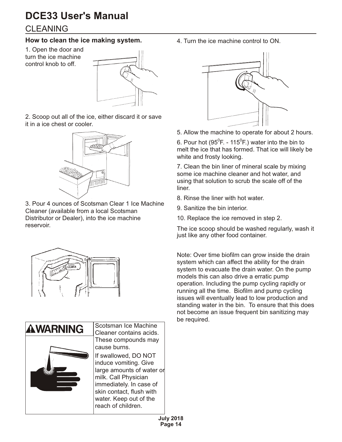### <span id="page-14-0"></span>**CLEANING**

#### **How to clean the ice making system.**

1. Open the door and turn the ice machine control knob to off.



2. Scoop out all of the ice, either discard it or save it in a ice chest or cooler.



3. Pour 4 ounces of Scotsman Clear 1 Ice Machine Cleaner (available from a local Scotsman Distributor or Dealer), into the ice machine reservoir.





4. Turn the ice machine control to ON.



5. Allow the machine to operate for about 2 hours.

6. Pour hot (95 $^0$ F. - 115 $^0$ F.) water into the bin to melt the ice that has formed. That ice will likely be white and frosty looking.

7. Clean the bin liner of mineral scale by mixing some ice machine cleaner and hot water, and using that solution to scrub the scale off of the liner.

- 8. Rinse the liner with hot water.
- 9. Sanitize the bin interior.
- 10. Replace the ice removed in step 2.

The ice scoop should be washed regularly, wash it just like any other food container.

Note: Over time biofilm can grow inside the drain system which can affect the ability for the drain system to evacuate the drain water. On the pump models this can also drive a erratic pump operation. Including the pump cycling rapidly or running all the time. Biofilm and pump cycling issues will eventually lead to low production and standing water in the bin. To ensure that this does not become an issue frequent bin sanitizing may be required.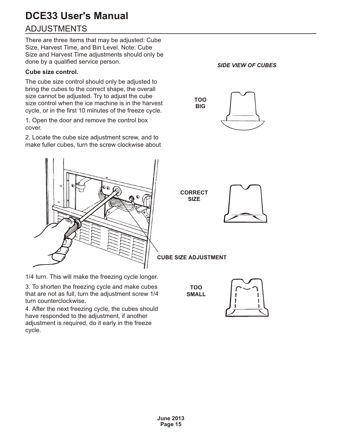### <span id="page-15-0"></span>**ADJUSTMENTS DCE33 User's Manual**

There are three items that may be adjusted: Cube Size, Harvest Time, and Bin Level. Note: Cube Size and Harvest Time adjustments should only be done by a qualified service person.

#### **Cube size control.**

The cube size control should only be adjusted to bring the cubes to the correct shape, the overall size cannot be adjusted. Try to adjust the cube size control when the ice machine is in the harvest cycle, or in the first 10 minutes of the freeze cycle.

1. Open the door and remove the control box cover.

2. Locate the cube size adjustment screw, and to make fuller cubes, turn the screw clockwise about



1/4 turn. This will make the freezing cycle longer.

3. To shorten the freezing cycle and make cubes that are not as full, turn the adjustment screw 1/4 turn counterclockwise.

4. After the next freezing cycle, the cubes should have responded to the adjustment, if another adjustment is required, do it early in the freeze cycle.

*SIDE VIEW OF CUBES*





**CUBE SIZE ADJUSTMENT**

**TOO SMALL**

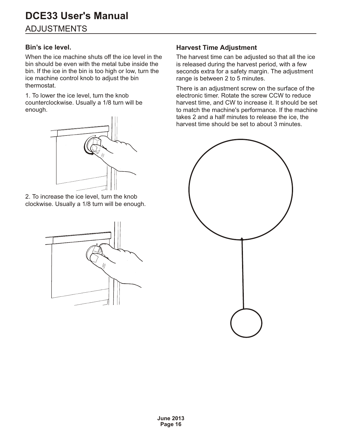### <span id="page-16-0"></span>**ADJUSTMENTS**

#### **Bin's ice level.**

When the ice machine shuts off the ice level in the bin should be even with the metal tube inside the bin. If the ice in the bin is too high or low, turn the ice machine control knob to adjust the bin thermostat.

1. To lower the ice level, turn the knob counterclockwise. Usually a 1/8 turn will be enough.



2. To increase the ice level, turn the knob clockwise. Usually a 1/8 turn will be enough.



#### **Harvest Time Adjustment**

The harvest time can be adjusted so that all the ice is released during the harvest period, with a few seconds extra for a safety margin. The adjustment range is between 2 to 5 minutes.

There is an adjustment screw on the surface of the electronic timer. Rotate the screw CCW to reduce harvest time, and CW to increase it. It should be set to match the machine's performance. If the machine takes 2 and a half minutes to release the ice, the harvest time should be set to about 3 minutes.

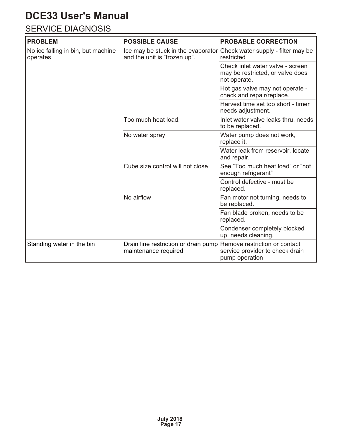### <span id="page-17-0"></span>SERVICE DIAGNOSIS

| <b>PROBLEM</b>                                 | <b>POSSIBLE CAUSE</b>                                                                      | <b>PROBABLE CORRECTION</b>                                                           |  |
|------------------------------------------------|--------------------------------------------------------------------------------------------|--------------------------------------------------------------------------------------|--|
| No ice falling in bin, but machine<br>operates | Ice may be stuck in the evaporator<br>and the unit is "frozen up".                         | Check water supply - filter may be<br>restricted                                     |  |
|                                                |                                                                                            | Check inlet water valve - screen<br>may be restricted, or valve does<br>not operate. |  |
|                                                |                                                                                            | Hot gas valve may not operate -<br>check and repair/replace.                         |  |
|                                                |                                                                                            | Harvest time set too short - timer<br>needs adjustment.                              |  |
|                                                | Too much heat load.                                                                        | Inlet water valve leaks thru, needs<br>to be replaced.                               |  |
|                                                | No water spray                                                                             | Water pump does not work,<br>replace it.                                             |  |
|                                                |                                                                                            | Water leak from reservoir, locate<br>and repair.                                     |  |
|                                                | Cube size control will not close                                                           | See "Too much heat load" or "not<br>enough refrigerant"                              |  |
|                                                |                                                                                            | Control defective - must be<br>replaced.                                             |  |
|                                                | No airflow                                                                                 | Fan motor not turning, needs to<br>be replaced.                                      |  |
|                                                |                                                                                            | Fan blade broken, needs to be<br>replaced.                                           |  |
|                                                |                                                                                            | Condenser completely blocked<br>up, needs cleaning.                                  |  |
| Standing water in the bin                      | Drain line restriction or drain pump Remove restriction or contact<br>maintenance required | service provider to check drain<br>pump operation                                    |  |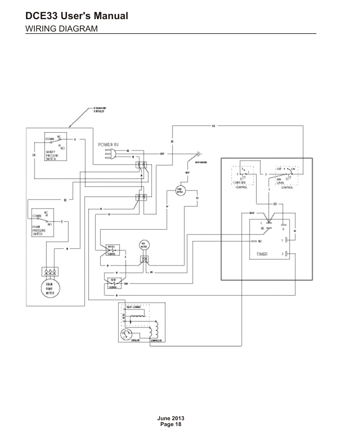### <span id="page-18-0"></span>WIRING DIAGRAM

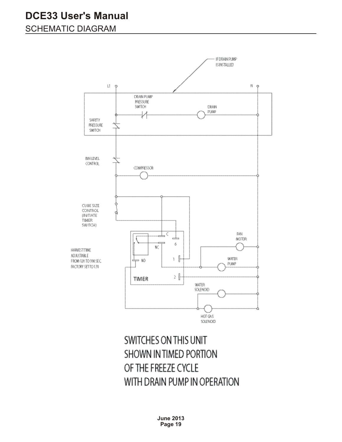### <span id="page-19-0"></span>SCHEMATIC DIAGRAM



## SWITCHES ON THIS UNIT SHOWN IN TIMED PORTION OF THE FREEZE CYCLE WITH DRAIN PUMP IN OPERATION

**June 2013 Page 19**